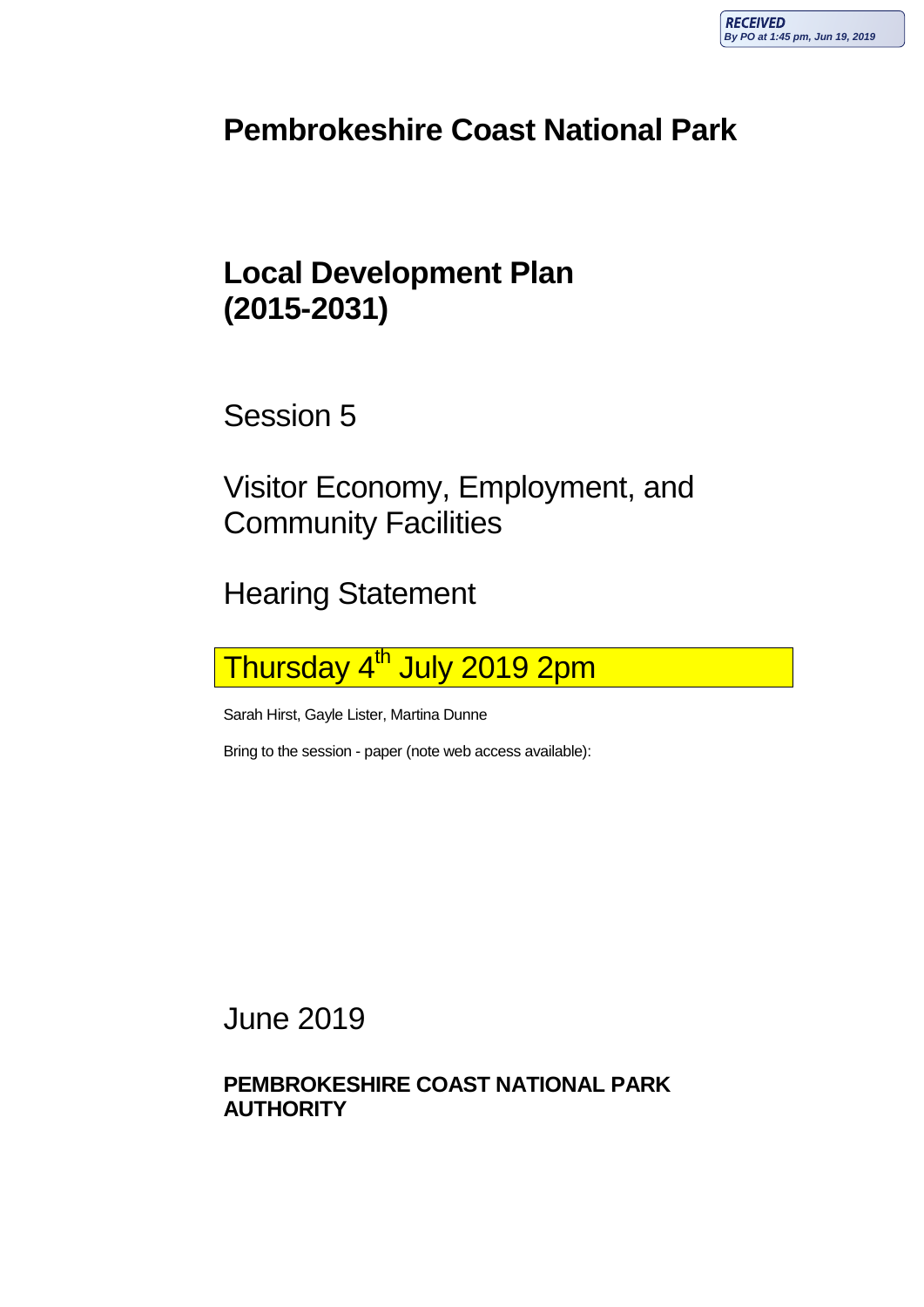## **Pembrokeshire Coast National Park**

## **Local Development Plan (2015-2031)**

Session 5

Visitor Economy, Employment, and Community Facilities

Hearing Statement

Thursday 4<sup>th</sup> July 2019 2pm

Sarah Hirst, Gayle Lister, Martina Dunne

Bring to the session - paper (note web access available):

June 2019

**PEMBROKESHIRE COAST NATIONAL PARK AUTHORITY**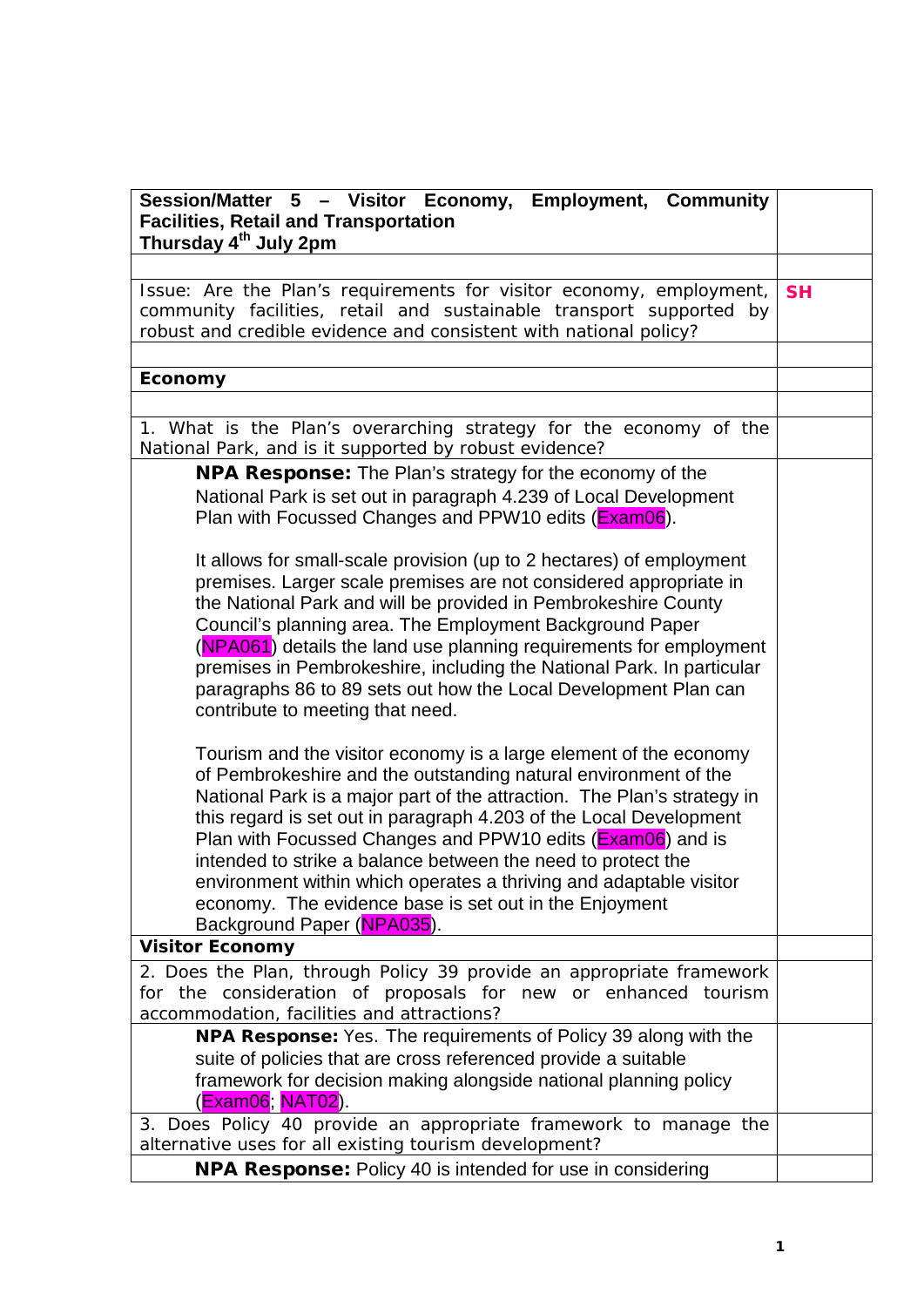| Session/Matter 5 - Visitor Economy, Employment, Community<br><b>Facilities, Retail and Transportation</b><br>Thursday 4 <sup>th</sup> July 2pm                                                                                                                                                                                                                                                                                                                                                                                                                                    |           |
|-----------------------------------------------------------------------------------------------------------------------------------------------------------------------------------------------------------------------------------------------------------------------------------------------------------------------------------------------------------------------------------------------------------------------------------------------------------------------------------------------------------------------------------------------------------------------------------|-----------|
|                                                                                                                                                                                                                                                                                                                                                                                                                                                                                                                                                                                   |           |
| Issue: Are the Plan's requirements for visitor economy, employment,<br>community facilities, retail and sustainable transport supported by<br>robust and credible evidence and consistent with national policy?                                                                                                                                                                                                                                                                                                                                                                   | <b>SH</b> |
|                                                                                                                                                                                                                                                                                                                                                                                                                                                                                                                                                                                   |           |
| Economy                                                                                                                                                                                                                                                                                                                                                                                                                                                                                                                                                                           |           |
|                                                                                                                                                                                                                                                                                                                                                                                                                                                                                                                                                                                   |           |
| 1. What is the Plan's overarching strategy for the economy of the<br>National Park, and is it supported by robust evidence?                                                                                                                                                                                                                                                                                                                                                                                                                                                       |           |
| <b>NPA Response:</b> The Plan's strategy for the economy of the<br>National Park is set out in paragraph 4.239 of Local Development<br>Plan with Focussed Changes and PPW10 edits (Exam06).<br>It allows for small-scale provision (up to 2 hectares) of employment                                                                                                                                                                                                                                                                                                               |           |
| premises. Larger scale premises are not considered appropriate in<br>the National Park and will be provided in Pembrokeshire County<br>Council's planning area. The Employment Background Paper<br>(NPA061) details the land use planning requirements for employment<br>premises in Pembrokeshire, including the National Park. In particular<br>paragraphs 86 to 89 sets out how the Local Development Plan can<br>contribute to meeting that need.                                                                                                                             |           |
| Tourism and the visitor economy is a large element of the economy<br>of Pembrokeshire and the outstanding natural environment of the<br>National Park is a major part of the attraction. The Plan's strategy in<br>this regard is set out in paragraph 4.203 of the Local Development<br>Plan with Focussed Changes and PPW10 edits (Exam06) and is<br>intended to strike a balance between the need to protect the<br>environment within which operates a thriving and adaptable visitor<br>economy. The evidence base is set out in the Enjoyment<br>Background Paper (NPA035). |           |
| <b>Visitor Economy</b>                                                                                                                                                                                                                                                                                                                                                                                                                                                                                                                                                            |           |
| 2. Does the Plan, through Policy 39 provide an appropriate framework<br>for the consideration of proposals for new or enhanced tourism<br>accommodation, facilities and attractions?                                                                                                                                                                                                                                                                                                                                                                                              |           |
| <b>NPA Response:</b> Yes. The requirements of Policy 39 along with the<br>suite of policies that are cross referenced provide a suitable<br>framework for decision making alongside national planning policy<br>(Exam06; NAT02).                                                                                                                                                                                                                                                                                                                                                  |           |
| 3. Does Policy 40 provide an appropriate framework to manage the<br>alternative uses for all existing tourism development?                                                                                                                                                                                                                                                                                                                                                                                                                                                        |           |
| <b>NPA Response:</b> Policy 40 is intended for use in considering                                                                                                                                                                                                                                                                                                                                                                                                                                                                                                                 |           |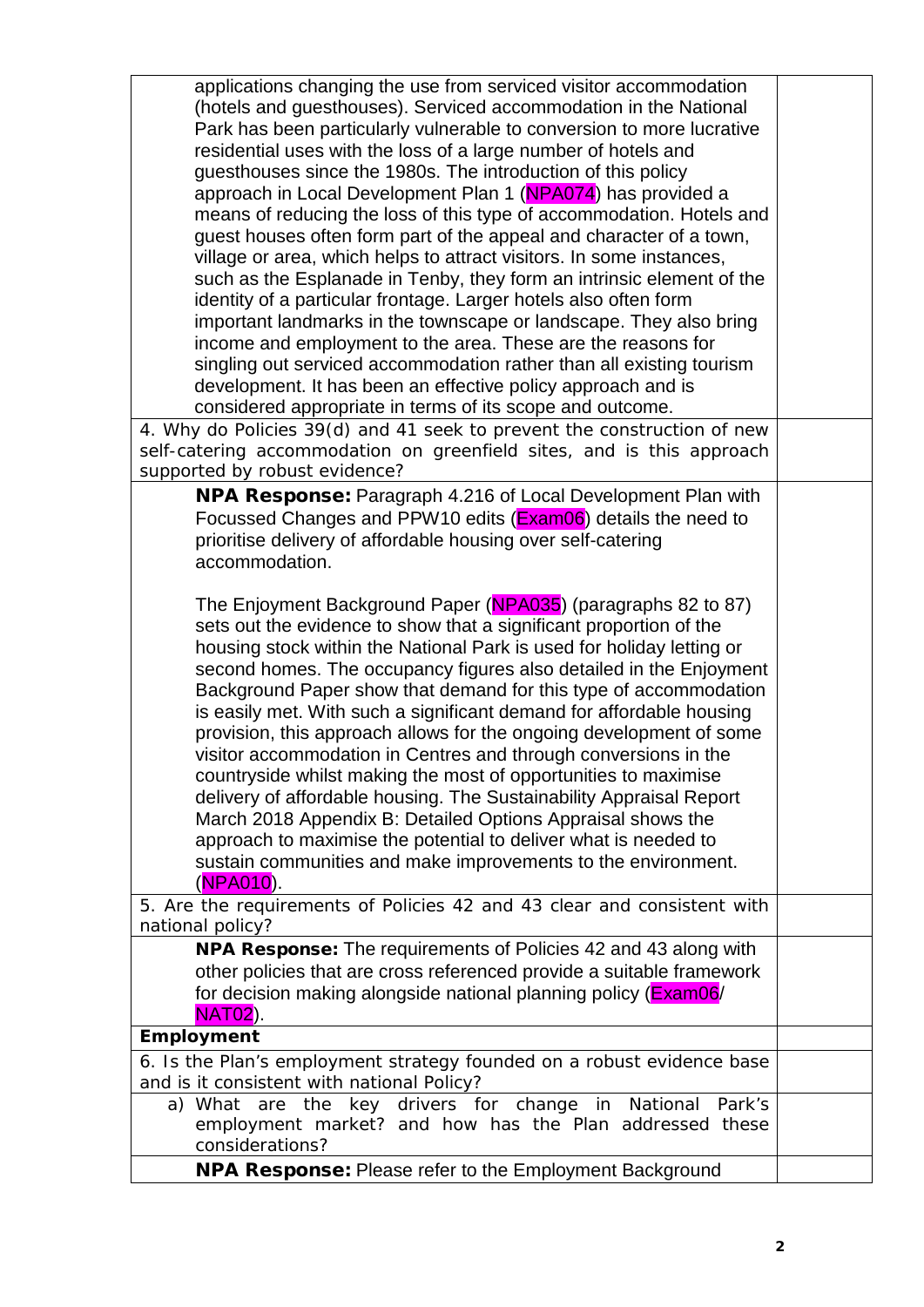| applications changing the use from serviced visitor accommodation<br>(hotels and guesthouses). Serviced accommodation in the National |  |
|---------------------------------------------------------------------------------------------------------------------------------------|--|
| Park has been particularly vulnerable to conversion to more lucrative                                                                 |  |
| residential uses with the loss of a large number of hotels and                                                                        |  |
| guesthouses since the 1980s. The introduction of this policy                                                                          |  |
| approach in Local Development Plan 1 (NPA074) has provided a                                                                          |  |
| means of reducing the loss of this type of accommodation. Hotels and                                                                  |  |
| guest houses often form part of the appeal and character of a town,                                                                   |  |
| village or area, which helps to attract visitors. In some instances,                                                                  |  |
| such as the Esplanade in Tenby, they form an intrinsic element of the                                                                 |  |
| identity of a particular frontage. Larger hotels also often form                                                                      |  |
| important landmarks in the townscape or landscape. They also bring<br>income and employment to the area. These are the reasons for    |  |
| singling out serviced accommodation rather than all existing tourism                                                                  |  |
| development. It has been an effective policy approach and is                                                                          |  |
| considered appropriate in terms of its scope and outcome.                                                                             |  |
| 4. Why do Policies 39(d) and 41 seek to prevent the construction of new                                                               |  |
| self-catering accommodation on greenfield sites, and is this approach                                                                 |  |
| supported by robust evidence?                                                                                                         |  |
| <b>NPA Response:</b> Paragraph 4.216 of Local Development Plan with                                                                   |  |
| Focussed Changes and PPW10 edits (Exam06) details the need to                                                                         |  |
| prioritise delivery of affordable housing over self-catering                                                                          |  |
| accommodation.                                                                                                                        |  |
|                                                                                                                                       |  |
| The Enjoyment Background Paper (NPA035) (paragraphs 82 to 87)<br>sets out the evidence to show that a significant proportion of the   |  |
| housing stock within the National Park is used for holiday letting or                                                                 |  |
| second homes. The occupancy figures also detailed in the Enjoyment                                                                    |  |
| Background Paper show that demand for this type of accommodation                                                                      |  |
| is easily met. With such a significant demand for affordable housing                                                                  |  |
| provision, this approach allows for the ongoing development of some                                                                   |  |
| visitor accommodation in Centres and through conversions in the                                                                       |  |
| countryside whilst making the most of opportunities to maximise                                                                       |  |
| delivery of affordable housing. The Sustainability Appraisal Report                                                                   |  |
| March 2018 Appendix B: Detailed Options Appraisal shows the                                                                           |  |
| approach to maximise the potential to deliver what is needed to                                                                       |  |
| sustain communities and make improvements to the environment.                                                                         |  |
| (NPA010).<br>5. Are the requirements of Policies 42 and 43 clear and consistent with                                                  |  |
| national policy?                                                                                                                      |  |
| <b>NPA Response:</b> The requirements of Policies 42 and 43 along with                                                                |  |
| other policies that are cross referenced provide a suitable framework                                                                 |  |
| for decision making alongside national planning policy (Exam06/                                                                       |  |
| <b>NAT02</b> ).                                                                                                                       |  |
| Employment                                                                                                                            |  |
| 6. Is the Plan's employment strategy founded on a robust evidence base                                                                |  |
| and is it consistent with national Policy?                                                                                            |  |
| a) What are the key drivers for change in National<br>Park's                                                                          |  |
| employment market? and how has the Plan addressed these                                                                               |  |
| considerations?                                                                                                                       |  |
| <b>NPA Response: Please refer to the Employment Background</b>                                                                        |  |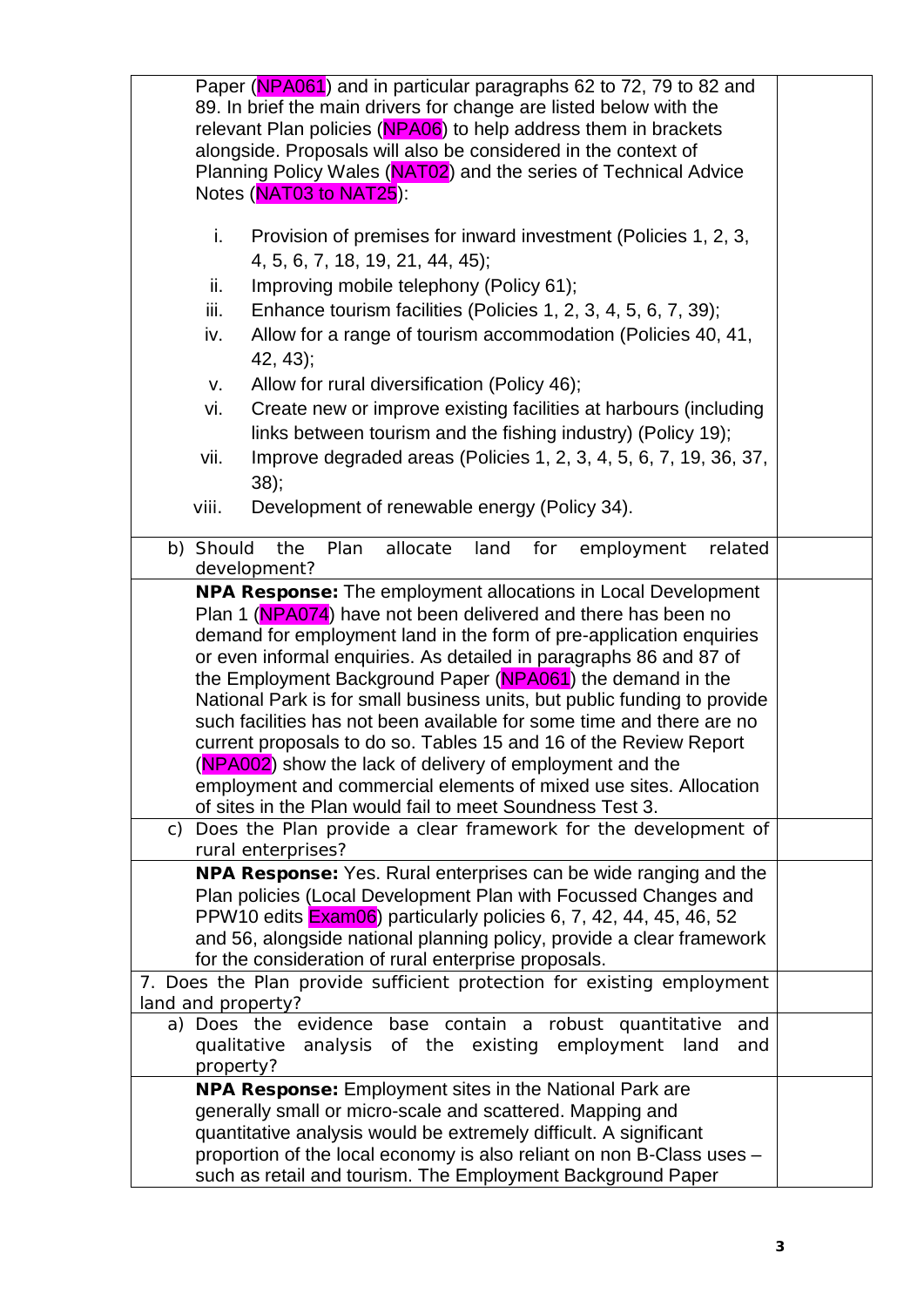| Paper (NPA061) and in particular paragraphs 62 to 72, 79 to 82 and                                                             |  |  |
|--------------------------------------------------------------------------------------------------------------------------------|--|--|
| 89. In brief the main drivers for change are listed below with the                                                             |  |  |
| relevant Plan policies (NPA06) to help address them in brackets                                                                |  |  |
| alongside. Proposals will also be considered in the context of                                                                 |  |  |
| Planning Policy Wales (NAT02) and the series of Technical Advice<br>Notes (NAT03 to NAT25):                                    |  |  |
|                                                                                                                                |  |  |
| i.<br>Provision of premises for inward investment (Policies 1, 2, 3,                                                           |  |  |
| 4, 5, 6, 7, 18, 19, 21, 44, 45);                                                                                               |  |  |
| Improving mobile telephony (Policy 61);<br>ii.                                                                                 |  |  |
| Enhance tourism facilities (Policies 1, 2, 3, 4, 5, 6, 7, 39);<br>iii.                                                         |  |  |
| Allow for a range of tourism accommodation (Policies 40, 41,<br>iv.                                                            |  |  |
| $42, 43$ ;                                                                                                                     |  |  |
| Allow for rural diversification (Policy 46);<br>v.                                                                             |  |  |
| Create new or improve existing facilities at harbours (including<br>vi.                                                        |  |  |
| links between tourism and the fishing industry) (Policy 19);                                                                   |  |  |
| Improve degraded areas (Policies 1, 2, 3, 4, 5, 6, 7, 19, 36, 37,<br>vii.                                                      |  |  |
| 38);                                                                                                                           |  |  |
| Development of renewable energy (Policy 34).<br>viii.                                                                          |  |  |
|                                                                                                                                |  |  |
| b) Should<br>the<br>Plan<br>allocate<br>related<br>for<br>employment<br>land<br>development?                                   |  |  |
| <b>NPA Response:</b> The employment allocations in Local Development                                                           |  |  |
| Plan 1 (NPA074) have not been delivered and there has been no                                                                  |  |  |
| demand for employment land in the form of pre-application enquiries                                                            |  |  |
| or even informal enquiries. As detailed in paragraphs 86 and 87 of                                                             |  |  |
| the Employment Background Paper (NPA061) the demand in the                                                                     |  |  |
| National Park is for small business units, but public funding to provide                                                       |  |  |
| such facilities has not been available for some time and there are no                                                          |  |  |
| current proposals to do so. Tables 15 and 16 of the Review Report                                                              |  |  |
| (NPA002) show the lack of delivery of employment and the<br>employment and commercial elements of mixed use sites. Allocation  |  |  |
| of sites in the Plan would fail to meet Soundness Test 3.                                                                      |  |  |
| Does the Plan provide a clear framework for the development of<br>C)                                                           |  |  |
| rural enterprises?                                                                                                             |  |  |
| NPA Response: Yes. Rural enterprises can be wide ranging and the                                                               |  |  |
| Plan policies (Local Development Plan with Focussed Changes and                                                                |  |  |
| PPW10 edits <b>Exam06</b> ) particularly policies 6, 7, 42, 44, 45, 46, 52                                                     |  |  |
| and 56, alongside national planning policy, provide a clear framework<br>for the consideration of rural enterprise proposals.  |  |  |
| 7. Does the Plan provide sufficient protection for existing employment                                                         |  |  |
| land and property?                                                                                                             |  |  |
| a) Does the evidence base contain a robust quantitative<br>and                                                                 |  |  |
| analysis of the existing<br>employment<br>qualitative<br>land<br>and                                                           |  |  |
| property?                                                                                                                      |  |  |
| <b>NPA Response:</b> Employment sites in the National Park are                                                                 |  |  |
| generally small or micro-scale and scattered. Mapping and<br>quantitative analysis would be extremely difficult. A significant |  |  |
| proportion of the local economy is also reliant on non B-Class uses -                                                          |  |  |
| such as retail and tourism. The Employment Background Paper                                                                    |  |  |
|                                                                                                                                |  |  |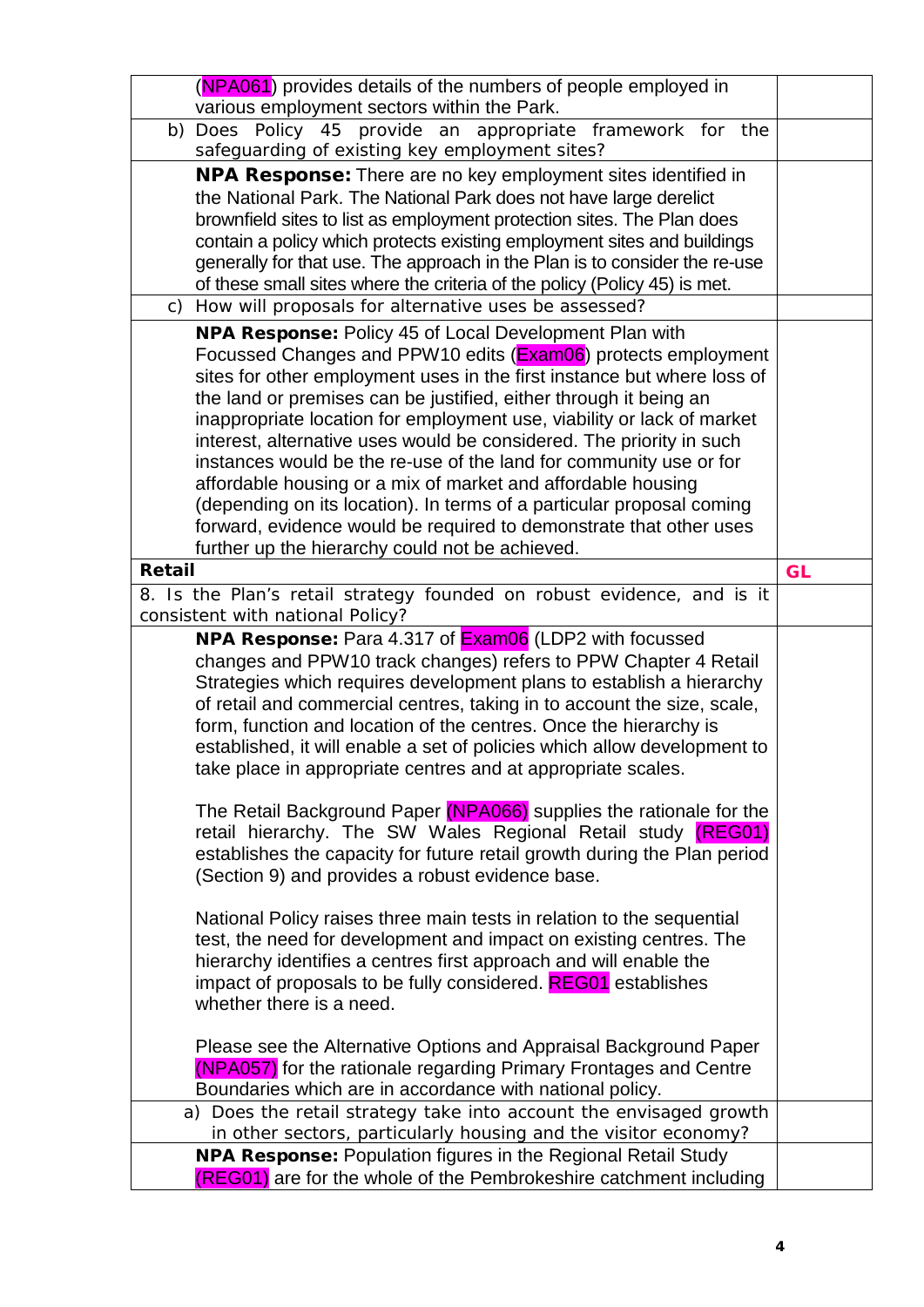|        | (NPA061) provides details of the numbers of people employed in                                                                               |           |
|--------|----------------------------------------------------------------------------------------------------------------------------------------------|-----------|
|        | various employment sectors within the Park.                                                                                                  |           |
| b)     | Does Policy 45 provide an appropriate framework for the                                                                                      |           |
|        | safeguarding of existing key employment sites?                                                                                               |           |
|        | <b>NPA Response:</b> There are no key employment sites identified in                                                                         |           |
|        | the National Park. The National Park does not have large derelict                                                                            |           |
|        | brownfield sites to list as employment protection sites. The Plan does                                                                       |           |
|        | contain a policy which protects existing employment sites and buildings                                                                      |           |
|        | generally for that use. The approach in the Plan is to consider the re-use                                                                   |           |
|        | of these small sites where the criteria of the policy (Policy 45) is met.                                                                    |           |
| C)     | How will proposals for alternative uses be assessed?                                                                                         |           |
|        | NPA Response: Policy 45 of Local Development Plan with                                                                                       |           |
|        | Focussed Changes and PPW10 edits (Exam06) protects employment                                                                                |           |
|        | sites for other employment uses in the first instance but where loss of                                                                      |           |
|        | the land or premises can be justified, either through it being an                                                                            |           |
|        | inappropriate location for employment use, viability or lack of market                                                                       |           |
|        | interest, alternative uses would be considered. The priority in such                                                                         |           |
|        | instances would be the re-use of the land for community use or for                                                                           |           |
|        | affordable housing or a mix of market and affordable housing                                                                                 |           |
|        | (depending on its location). In terms of a particular proposal coming                                                                        |           |
|        | forward, evidence would be required to demonstrate that other uses                                                                           |           |
|        | further up the hierarchy could not be achieved.                                                                                              |           |
| Retail |                                                                                                                                              | <b>GL</b> |
|        | 8. Is the Plan's retail strategy founded on robust evidence, and is it                                                                       |           |
|        | consistent with national Policy?                                                                                                             |           |
|        |                                                                                                                                              |           |
|        | <b>NPA Response:</b> Para 4.317 of <b>Exam06</b> (LDP2 with focussed                                                                         |           |
|        | changes and PPW10 track changes) refers to PPW Chapter 4 Retail                                                                              |           |
|        | Strategies which requires development plans to establish a hierarchy                                                                         |           |
|        |                                                                                                                                              |           |
|        | of retail and commercial centres, taking in to account the size, scale,<br>form, function and location of the centres. Once the hierarchy is |           |
|        | established, it will enable a set of policies which allow development to                                                                     |           |
|        | take place in appropriate centres and at appropriate scales.                                                                                 |           |
|        |                                                                                                                                              |           |
|        | The Retail Background Paper (NPA066) supplies the rationale for the                                                                          |           |
|        | retail hierarchy. The SW Wales Regional Retail study (REG01)                                                                                 |           |
|        | establishes the capacity for future retail growth during the Plan period                                                                     |           |
|        | (Section 9) and provides a robust evidence base.                                                                                             |           |
|        |                                                                                                                                              |           |
|        | National Policy raises three main tests in relation to the sequential                                                                        |           |
|        | test, the need for development and impact on existing centres. The                                                                           |           |
|        | hierarchy identifies a centres first approach and will enable the                                                                            |           |
|        | impact of proposals to be fully considered. REG01 establishes                                                                                |           |
|        | whether there is a need.                                                                                                                     |           |
|        |                                                                                                                                              |           |
|        | Please see the Alternative Options and Appraisal Background Paper                                                                            |           |
|        | (NPA057) for the rationale regarding Primary Frontages and Centre                                                                            |           |
|        | Boundaries which are in accordance with national policy.                                                                                     |           |
|        | a) Does the retail strategy take into account the envisaged growth                                                                           |           |
|        | in other sectors, particularly housing and the visitor economy?                                                                              |           |
|        | <b>NPA Response: Population figures in the Regional Retail Study</b><br>(REG01) are for the whole of the Pembrokeshire catchment including   |           |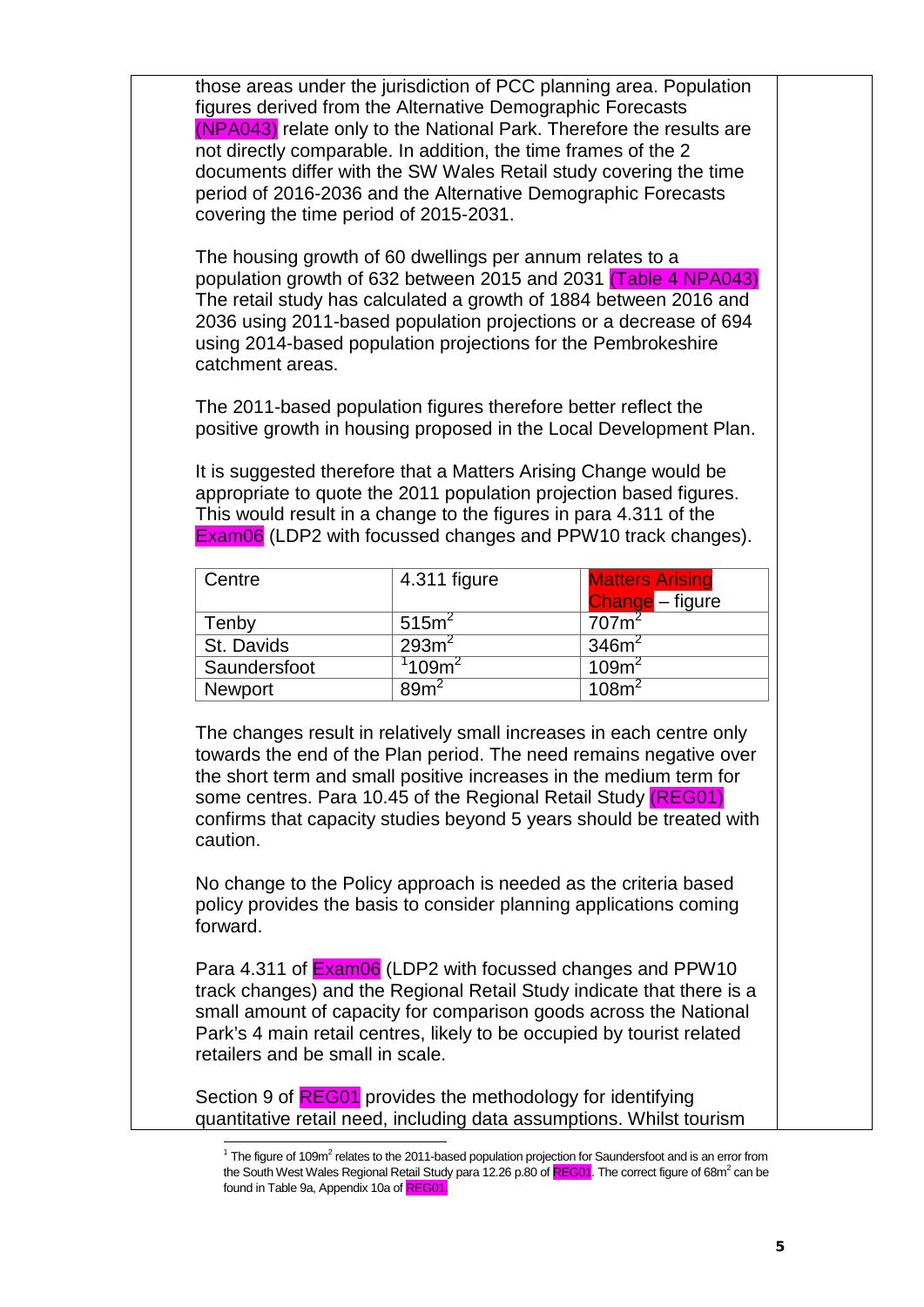those areas under the jurisdiction of PCC planning area. Population figures derived from the Alternative Demographic Forecasts (NPA043) relate only to the National Park. Therefore the results are not directly comparable. In addition, the time frames of the 2 documents differ with the SW Wales Retail study covering the time period of 2016-2036 and the Alternative Demographic Forecasts covering the time period of 2015-2031.

The housing growth of 60 dwellings per annum relates to a population growth of 632 between 2015 and 2031 (Table 4 NPA043) The retail study has calculated a growth of 1884 between 2016 and 2036 using 2011-based population projections or a decrease of 694 using 2014-based population projections for the Pembrokeshire catchment areas.

The 2011-based population figures therefore better reflect the positive growth in housing proposed in the Local Development Plan.

It is suggested therefore that a Matters Arising Change would be appropriate to quote the 2011 population projection based figures. This would result in a change to the figures in para 4.311 of the Exam06 (LDP2 with focussed changes and PPW10 track changes).

| Centre       | 4.311 figure      | <b>Matters Arising</b> |
|--------------|-------------------|------------------------|
|              |                   | Change - figure        |
| Tenby        | 515m <sup>2</sup> | 707m <sup>2</sup>      |
| St. Davids   | 293m <sup>2</sup> | 346m <sup>2</sup>      |
| Saundersfoot | $1109$ m $^2$     | 109m <sup>2</sup>      |
| Newport      | 89 <sup>2</sup>   | 108m <sup>2</sup>      |

The changes result in relatively small increases in each centre only towards the end of the Plan period. The need remains negative over the short term and small positive increases in the medium term for some centres. Para 10.45 of the Regional Retail Study (REG01) confirms that capacity studies beyond 5 years should be treated with caution.

No change to the Policy approach is needed as the criteria based policy provides the basis to consider planning applications coming forward.

Para 4.311 of **Exam06** (LDP2 with focussed changes and PPW10 track changes) and the Regional Retail Study indicate that there is a small amount of capacity for comparison goods across the National Park's 4 main retail centres, likely to be occupied by tourist related retailers and be small in scale.

<span id="page-5-0"></span>Section 9 of REG01 provides the methodology for identifying quantitative retail need, including data assumptions. Whilst tourism

 $1$  The figure of 109m<sup>2</sup> relates to the 2011-based population projection for Saundersfoot and is an error from the South West Wales Regional Retail Study para 12.26 p.80 of REG01. The correct figure of 68m<sup>2</sup> can be found in Table 9a, Appendix 10a of REG01.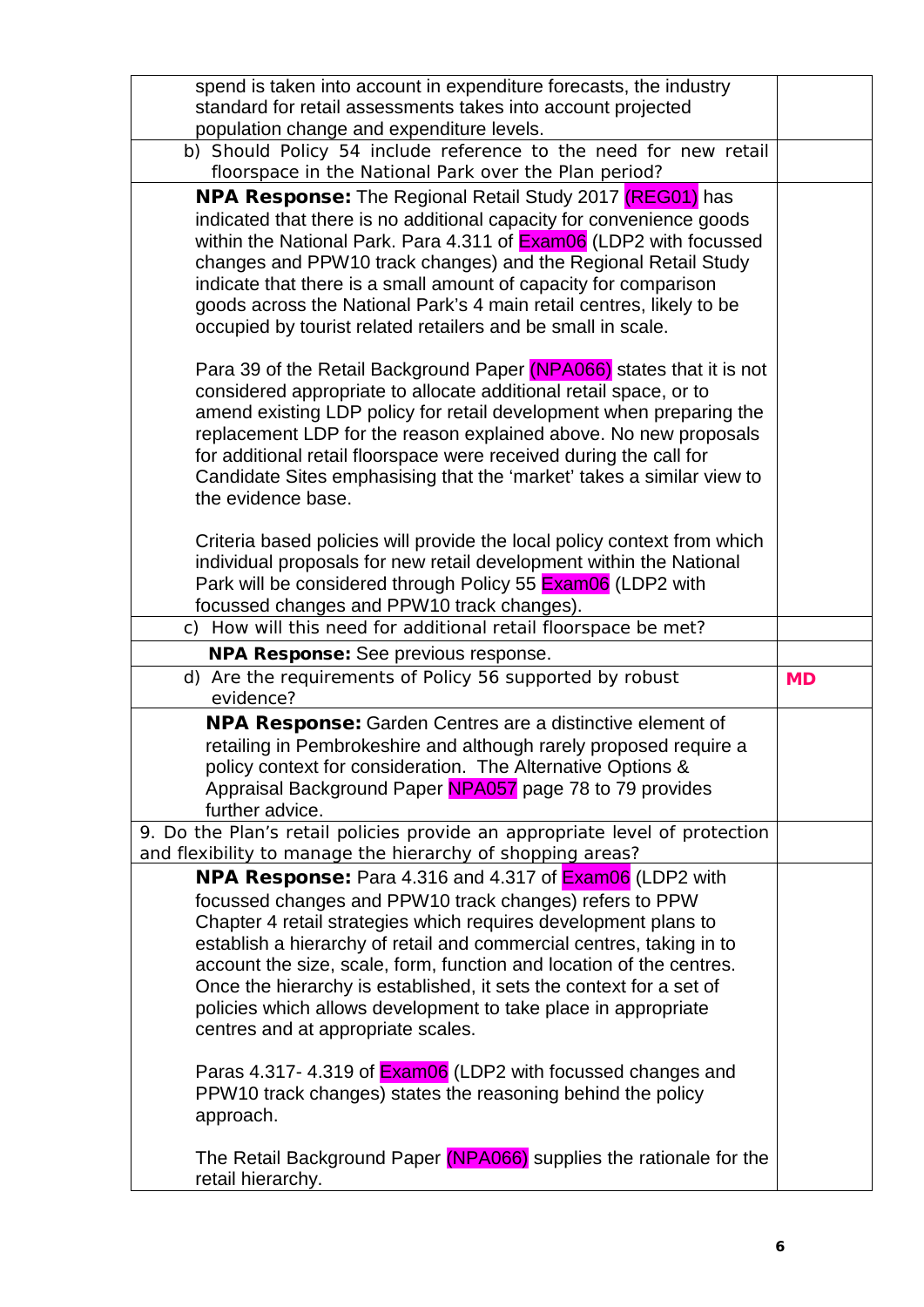| spend is taken into account in expenditure forecasts, the industry                                                                         |           |
|--------------------------------------------------------------------------------------------------------------------------------------------|-----------|
| standard for retail assessments takes into account projected                                                                               |           |
| population change and expenditure levels.<br>b) Should Policy 54 include reference to the need for new retail                              |           |
| floorspace in the National Park over the Plan period?                                                                                      |           |
| <b>NPA Response:</b> The Regional Retail Study 2017 (REG01) has                                                                            |           |
| indicated that there is no additional capacity for convenience goods                                                                       |           |
| within the National Park. Para 4.311 of <b>Exam06</b> (LDP2 with focussed                                                                  |           |
| changes and PPW10 track changes) and the Regional Retail Study<br>indicate that there is a small amount of capacity for comparison         |           |
| goods across the National Park's 4 main retail centres, likely to be                                                                       |           |
| occupied by tourist related retailers and be small in scale.                                                                               |           |
|                                                                                                                                            |           |
| Para 39 of the Retail Background Paper (NPA066) states that it is not<br>considered appropriate to allocate additional retail space, or to |           |
| amend existing LDP policy for retail development when preparing the                                                                        |           |
| replacement LDP for the reason explained above. No new proposals                                                                           |           |
| for additional retail floorspace were received during the call for                                                                         |           |
| Candidate Sites emphasising that the 'market' takes a similar view to<br>the evidence base.                                                |           |
|                                                                                                                                            |           |
| Criteria based policies will provide the local policy context from which                                                                   |           |
| individual proposals for new retail development within the National                                                                        |           |
| Park will be considered through Policy 55 Exam06 (LDP2 with<br>focussed changes and PPW10 track changes).                                  |           |
| c) How will this need for additional retail floorspace be met?                                                                             |           |
| <b>NPA Response:</b> See previous response.                                                                                                |           |
|                                                                                                                                            |           |
| d) Are the requirements of Policy 56 supported by robust                                                                                   | <b>MD</b> |
| evidence?                                                                                                                                  |           |
| <b>NPA Response:</b> Garden Centres are a distinctive element of                                                                           |           |
| retailing in Pembrokeshire and although rarely proposed require a                                                                          |           |
| policy context for consideration. The Alternative Options &                                                                                |           |
| Appraisal Background Paper NPA057 page 78 to 79 provides<br>further advice.                                                                |           |
| 9. Do the Plan's retail policies provide an appropriate level of protection                                                                |           |
| and flexibility to manage the hierarchy of shopping areas?                                                                                 |           |
| NPA Response: Para 4.316 and 4.317 of <b>Exam06</b> (LDP2 with                                                                             |           |
| focussed changes and PPW10 track changes) refers to PPW                                                                                    |           |
| Chapter 4 retail strategies which requires development plans to<br>establish a hierarchy of retail and commercial centres, taking in to    |           |
| account the size, scale, form, function and location of the centres.                                                                       |           |
| Once the hierarchy is established, it sets the context for a set of                                                                        |           |
| policies which allows development to take place in appropriate                                                                             |           |
| centres and at appropriate scales.                                                                                                         |           |
| Paras 4.317-4.319 of <b>Exam06</b> (LDP2 with focussed changes and                                                                         |           |
| PPW10 track changes) states the reasoning behind the policy                                                                                |           |
| approach.                                                                                                                                  |           |
| The Retail Background Paper (NPA066) supplies the rationale for the                                                                        |           |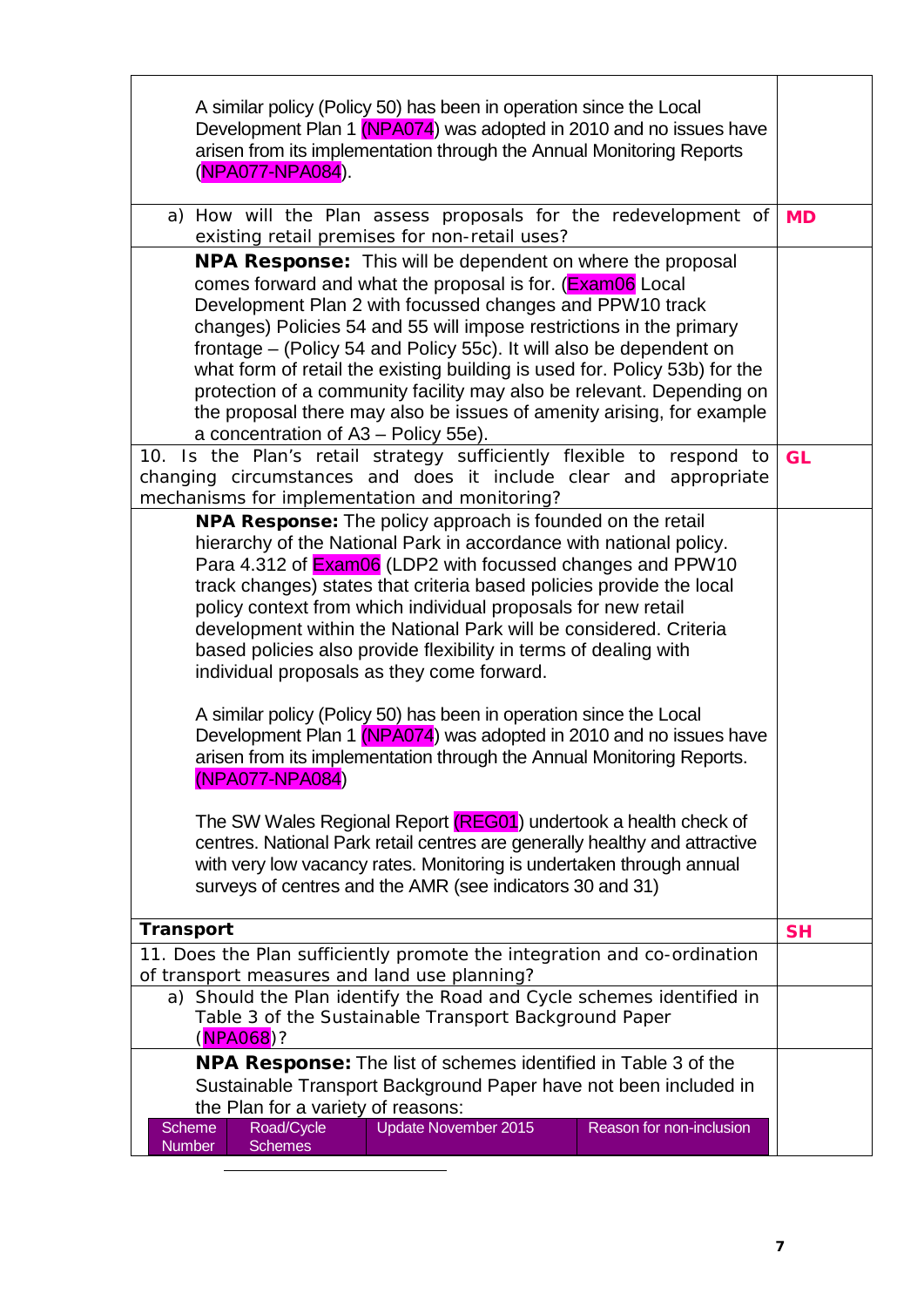| A similar policy (Policy 50) has been in operation since the Local<br>Development Plan 1 (NPA074) was adopted in 2010 and no issues have<br>arisen from its implementation through the Annual Monitoring Reports<br>(NPA077-NPA084).                                                                                                                                                                                                                                                                                                                                                                                                                                                                                                                                                                                                                                                                                                                                                                                                                                        |           |  |
|-----------------------------------------------------------------------------------------------------------------------------------------------------------------------------------------------------------------------------------------------------------------------------------------------------------------------------------------------------------------------------------------------------------------------------------------------------------------------------------------------------------------------------------------------------------------------------------------------------------------------------------------------------------------------------------------------------------------------------------------------------------------------------------------------------------------------------------------------------------------------------------------------------------------------------------------------------------------------------------------------------------------------------------------------------------------------------|-----------|--|
| a) How will the Plan assess proposals for the redevelopment of<br>existing retail premises for non-retail uses?                                                                                                                                                                                                                                                                                                                                                                                                                                                                                                                                                                                                                                                                                                                                                                                                                                                                                                                                                             | <b>MD</b> |  |
| <b>NPA Response:</b> This will be dependent on where the proposal<br>comes forward and what the proposal is for. (Exam06 Local<br>Development Plan 2 with focussed changes and PPW10 track<br>changes) Policies 54 and 55 will impose restrictions in the primary<br>frontage – (Policy 54 and Policy 55c). It will also be dependent on<br>what form of retail the existing building is used for. Policy 53b) for the<br>protection of a community facility may also be relevant. Depending on<br>the proposal there may also be issues of amenity arising, for example<br>a concentration of A3 - Policy 55e).<br>10. Is the Plan's retail strategy sufficiently flexible to respond to                                                                                                                                                                                                                                                                                                                                                                                   | <b>GL</b> |  |
| changing circumstances and does it include clear and appropriate<br>mechanisms for implementation and monitoring?                                                                                                                                                                                                                                                                                                                                                                                                                                                                                                                                                                                                                                                                                                                                                                                                                                                                                                                                                           |           |  |
| <b>NPA Response:</b> The policy approach is founded on the retail<br>hierarchy of the National Park in accordance with national policy.<br>Para 4.312 of <b>Exam06</b> (LDP2 with focussed changes and PPW10<br>track changes) states that criteria based policies provide the local<br>policy context from which individual proposals for new retail<br>development within the National Park will be considered. Criteria<br>based policies also provide flexibility in terms of dealing with<br>individual proposals as they come forward.<br>A similar policy (Policy 50) has been in operation since the Local<br>Development Plan 1 (NPA074) was adopted in 2010 and no issues have<br>arisen from its implementation through the Annual Monitoring Reports.<br>(NPA077-NPA084)<br>The SW Wales Regional Report (REG01) undertook a health check of<br>centres. National Park retail centres are generally healthy and attractive<br>with very low vacancy rates. Monitoring is undertaken through annual<br>surveys of centres and the AMR (see indicators 30 and 31) | <b>SH</b> |  |
| <b>Transport</b>                                                                                                                                                                                                                                                                                                                                                                                                                                                                                                                                                                                                                                                                                                                                                                                                                                                                                                                                                                                                                                                            |           |  |
| 11. Does the Plan sufficiently promote the integration and co-ordination<br>of transport measures and land use planning?                                                                                                                                                                                                                                                                                                                                                                                                                                                                                                                                                                                                                                                                                                                                                                                                                                                                                                                                                    |           |  |
| a) Should the Plan identify the Road and Cycle schemes identified in<br>Table 3 of the Sustainable Transport Background Paper<br>(NPA068)?                                                                                                                                                                                                                                                                                                                                                                                                                                                                                                                                                                                                                                                                                                                                                                                                                                                                                                                                  |           |  |
| <b>NPA Response:</b> The list of schemes identified in Table 3 of the                                                                                                                                                                                                                                                                                                                                                                                                                                                                                                                                                                                                                                                                                                                                                                                                                                                                                                                                                                                                       |           |  |
| Sustainable Transport Background Paper have not been included in<br>the Plan for a variety of reasons:                                                                                                                                                                                                                                                                                                                                                                                                                                                                                                                                                                                                                                                                                                                                                                                                                                                                                                                                                                      |           |  |
| <b>Update November 2015</b><br><b>Scheme</b><br>Road/Cycle<br>Reason for non-inclusion<br><b>Schemes</b><br>Number                                                                                                                                                                                                                                                                                                                                                                                                                                                                                                                                                                                                                                                                                                                                                                                                                                                                                                                                                          |           |  |

<span id="page-7-0"></span>-

T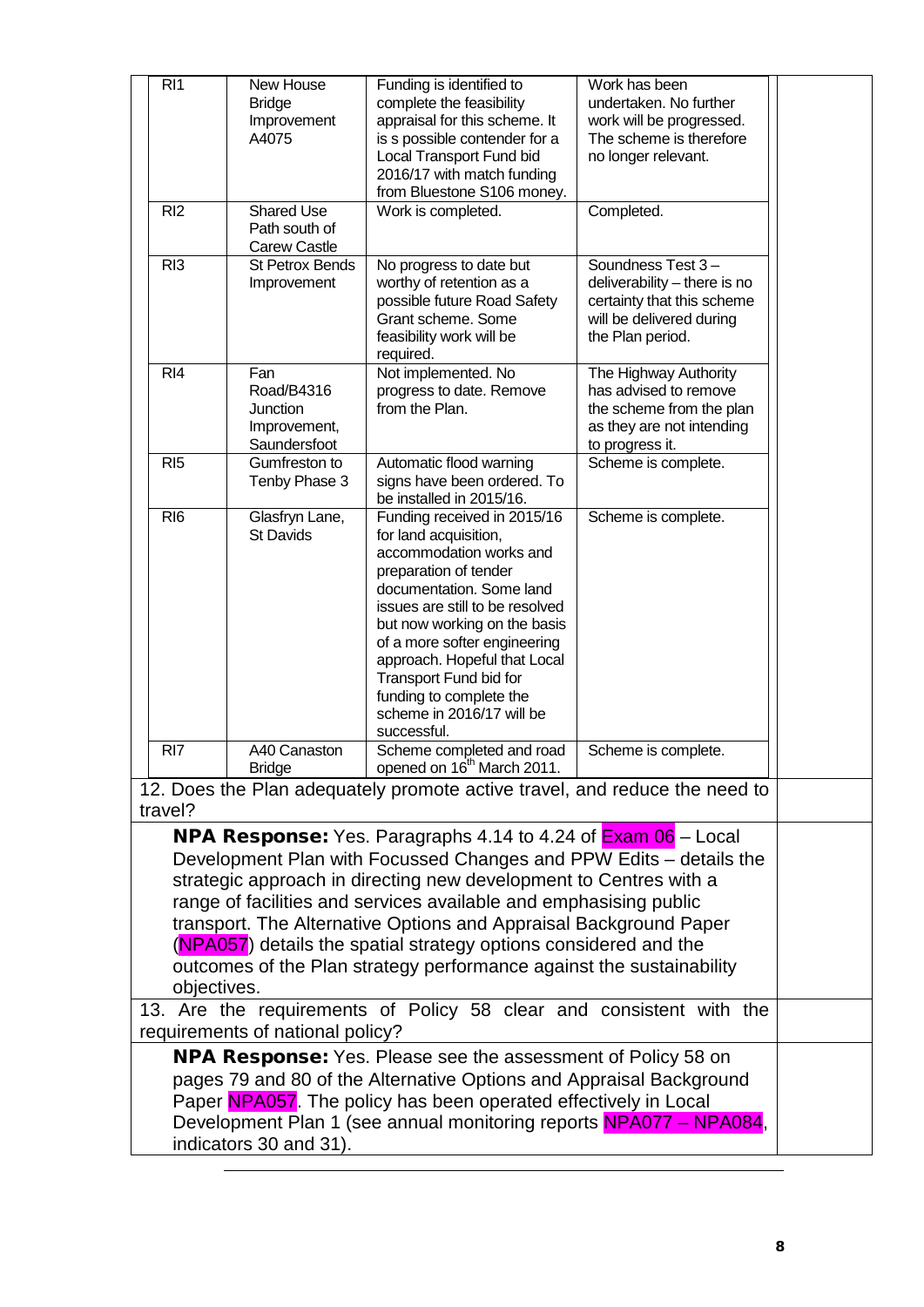| RI <sub>1</sub>                                                                                                                                                                                                                                                                                                                                                                                                                                                                                                                               | New House<br><b>Bridge</b><br>Improvement<br>A4075                   | Funding is identified to<br>complete the feasibility<br>appraisal for this scheme. It<br>is s possible contender for a<br>Local Transport Fund bid<br>2016/17 with match funding<br>from Bluestone S106 money.                                                                                                                                                           | Work has been<br>undertaken. No further<br>work will be progressed.<br>The scheme is therefore<br>no longer relevant.           |  |
|-----------------------------------------------------------------------------------------------------------------------------------------------------------------------------------------------------------------------------------------------------------------------------------------------------------------------------------------------------------------------------------------------------------------------------------------------------------------------------------------------------------------------------------------------|----------------------------------------------------------------------|--------------------------------------------------------------------------------------------------------------------------------------------------------------------------------------------------------------------------------------------------------------------------------------------------------------------------------------------------------------------------|---------------------------------------------------------------------------------------------------------------------------------|--|
| RI <sub>2</sub>                                                                                                                                                                                                                                                                                                                                                                                                                                                                                                                               | <b>Shared Use</b><br>Path south of<br><b>Carew Castle</b>            | Work is completed.                                                                                                                                                                                                                                                                                                                                                       | Completed.                                                                                                                      |  |
| RI <sub>3</sub>                                                                                                                                                                                                                                                                                                                                                                                                                                                                                                                               | <b>St Petrox Bends</b><br>Improvement                                | No progress to date but<br>worthy of retention as a<br>possible future Road Safety<br>Grant scheme. Some<br>feasibility work will be<br>required.                                                                                                                                                                                                                        | Soundness Test 3-<br>deliverability - there is no<br>certainty that this scheme<br>will be delivered during<br>the Plan period. |  |
| R <sub>14</sub>                                                                                                                                                                                                                                                                                                                                                                                                                                                                                                                               | Fan<br>Road/B4316<br><b>Junction</b><br>Improvement,<br>Saundersfoot | Not implemented. No<br>progress to date. Remove<br>from the Plan.                                                                                                                                                                                                                                                                                                        | The Highway Authority<br>has advised to remove<br>the scheme from the plan<br>as they are not intending<br>to progress it.      |  |
| RI <sub>5</sub>                                                                                                                                                                                                                                                                                                                                                                                                                                                                                                                               | Gumfreston to<br>Tenby Phase 3                                       | Automatic flood warning<br>signs have been ordered. To<br>be installed in 2015/16.                                                                                                                                                                                                                                                                                       | Scheme is complete.                                                                                                             |  |
| RI <sub>6</sub>                                                                                                                                                                                                                                                                                                                                                                                                                                                                                                                               | Glasfryn Lane,<br><b>St Davids</b>                                   | Funding received in 2015/16<br>for land acquisition,<br>accommodation works and<br>preparation of tender<br>documentation. Some land<br>issues are still to be resolved<br>but now working on the basis<br>of a more softer engineering<br>approach. Hopeful that Local<br>Transport Fund bid for<br>funding to complete the<br>scheme in 2016/17 will be<br>successful. | Scheme is complete.                                                                                                             |  |
| RI <sub>7</sub>                                                                                                                                                                                                                                                                                                                                                                                                                                                                                                                               | A40 Canaston<br>Bridge                                               | Scheme completed and road<br>opened on 16 <sup>th</sup> March 2011.                                                                                                                                                                                                                                                                                                      | Scheme is complete.                                                                                                             |  |
| travel?                                                                                                                                                                                                                                                                                                                                                                                                                                                                                                                                       |                                                                      | 12. Does the Plan adequately promote active travel, and reduce the need to                                                                                                                                                                                                                                                                                               |                                                                                                                                 |  |
| <b>NPA Response:</b> Yes. Paragraphs 4.14 to 4.24 of $\frac{\text{Exam }06}{\text{--}}$ Local<br>Development Plan with Focussed Changes and PPW Edits - details the<br>strategic approach in directing new development to Centres with a<br>range of facilities and services available and emphasising public<br>transport. The Alternative Options and Appraisal Background Paper<br>(NPA057) details the spatial strategy options considered and the<br>outcomes of the Plan strategy performance against the sustainability<br>objectives. |                                                                      |                                                                                                                                                                                                                                                                                                                                                                          |                                                                                                                                 |  |
|                                                                                                                                                                                                                                                                                                                                                                                                                                                                                                                                               |                                                                      | 13. Are the requirements of Policy 58 clear and consistent with the                                                                                                                                                                                                                                                                                                      |                                                                                                                                 |  |
|                                                                                                                                                                                                                                                                                                                                                                                                                                                                                                                                               | requirements of national policy?                                     |                                                                                                                                                                                                                                                                                                                                                                          |                                                                                                                                 |  |
| <b>NPA Response:</b> Yes. Please see the assessment of Policy 58 on<br>pages 79 and 80 of the Alternative Options and Appraisal Background<br>Paper NPA057. The policy has been operated effectively in Local<br>Development Plan 1 (see annual monitoring reports NPA077 – NPA084,<br>indicators 30 and 31).                                                                                                                                                                                                                                 |                                                                      |                                                                                                                                                                                                                                                                                                                                                                          |                                                                                                                                 |  |

-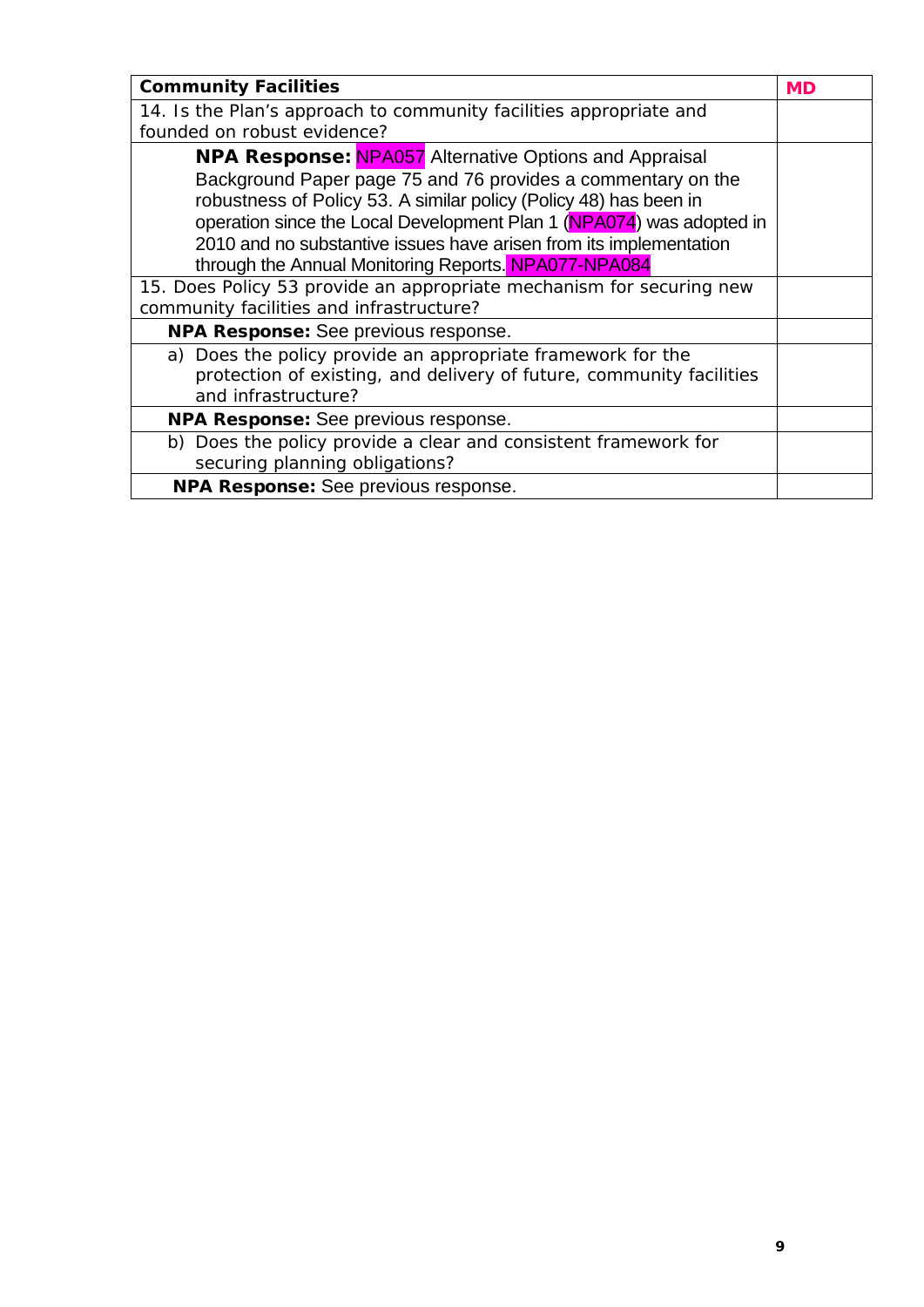| <b>Community Facilities</b>                                                                                                                                                                                                                                                                                                                                                                              | <b>MD</b> |
|----------------------------------------------------------------------------------------------------------------------------------------------------------------------------------------------------------------------------------------------------------------------------------------------------------------------------------------------------------------------------------------------------------|-----------|
| 14. Is the Plan's approach to community facilities appropriate and                                                                                                                                                                                                                                                                                                                                       |           |
| founded on robust evidence?                                                                                                                                                                                                                                                                                                                                                                              |           |
| <b>NPA Response: NPA057</b> Alternative Options and Appraisal<br>Background Paper page 75 and 76 provides a commentary on the<br>robustness of Policy 53. A similar policy (Policy 48) has been in<br>operation since the Local Development Plan 1 (NPA074) was adopted in<br>2010 and no substantive issues have arisen from its implementation<br>through the Annual Monitoring Reports. NPA077-NPA084 |           |
| 15. Does Policy 53 provide an appropriate mechanism for securing new<br>community facilities and infrastructure?                                                                                                                                                                                                                                                                                         |           |
| NPA Response: See previous response.                                                                                                                                                                                                                                                                                                                                                                     |           |
| a) Does the policy provide an appropriate framework for the<br>protection of existing, and delivery of future, community facilities<br>and infrastructure?                                                                                                                                                                                                                                               |           |
| NPA Response: See previous response.                                                                                                                                                                                                                                                                                                                                                                     |           |
| b) Does the policy provide a clear and consistent framework for<br>securing planning obligations?                                                                                                                                                                                                                                                                                                        |           |
| NPA Response: See previous response.                                                                                                                                                                                                                                                                                                                                                                     |           |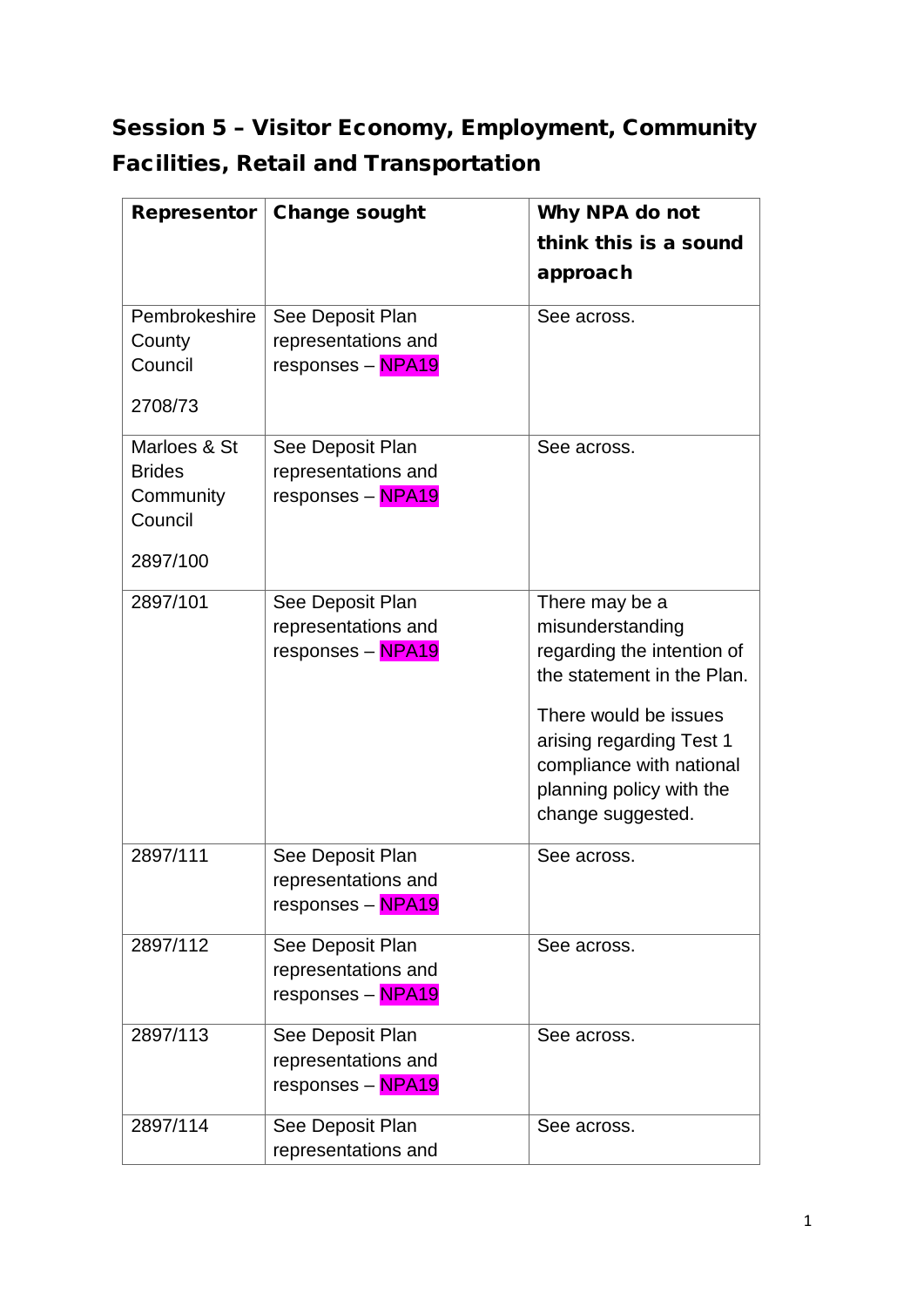## Session 5 – Visitor Economy, Employment, Community Facilities, Retail and Transportation

| Representor          | <b>Change sought</b> | Why NPA do not                                           |
|----------------------|----------------------|----------------------------------------------------------|
|                      |                      | think this is a sound                                    |
|                      |                      | approach                                                 |
| Pembrokeshire        | See Deposit Plan     | See across.                                              |
| County               | representations and  |                                                          |
| Council              | responses - NPA19    |                                                          |
| 2708/73              |                      |                                                          |
| Marloes & St         | See Deposit Plan     | See across.                                              |
| <b>Brides</b>        | representations and  |                                                          |
| Community<br>Council | responses - NPA19    |                                                          |
| 2897/100             |                      |                                                          |
| 2897/101             | See Deposit Plan     | There may be a                                           |
|                      | representations and  | misunderstanding                                         |
|                      | responses - NPA19    | regarding the intention of<br>the statement in the Plan. |
|                      |                      | There would be issues                                    |
|                      |                      | arising regarding Test 1                                 |
|                      |                      | compliance with national                                 |
|                      |                      | planning policy with the                                 |
|                      |                      | change suggested.                                        |
| 2897/111             | See Deposit Plan     | See across.                                              |
|                      | representations and  |                                                          |
|                      | responses - NPA19    |                                                          |
| 2897/112             | See Deposit Plan     | See across.                                              |
|                      | representations and  |                                                          |
|                      | responses - NPA19    |                                                          |
| 2897/113             | See Deposit Plan     | See across.                                              |
|                      | representations and  |                                                          |
|                      | responses - NPA19    |                                                          |
| 2897/114             | See Deposit Plan     | See across.                                              |
|                      | representations and  |                                                          |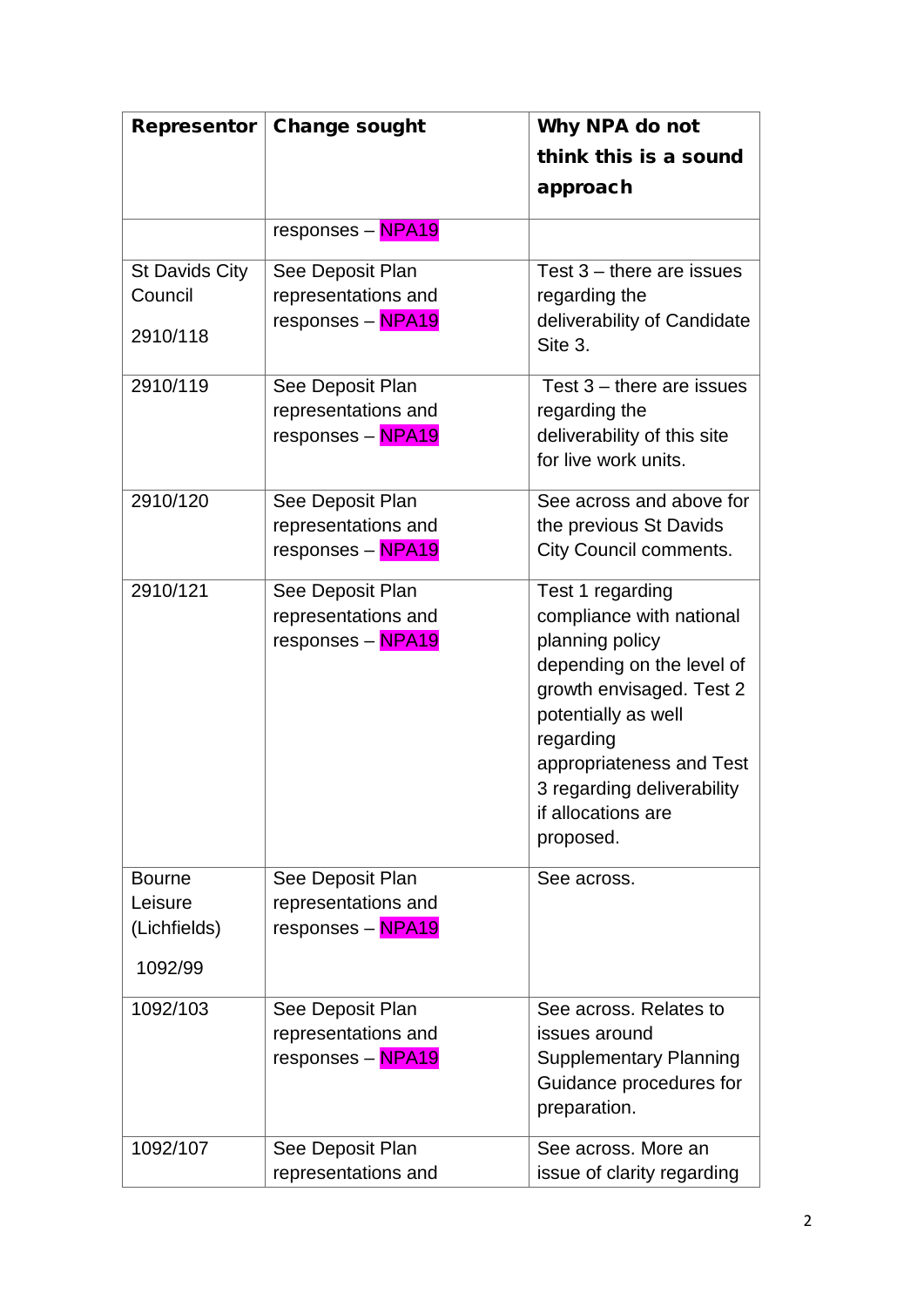| Representor    | <b>Change sought</b> | Why NPA do not                                      |
|----------------|----------------------|-----------------------------------------------------|
|                |                      | think this is a sound                               |
|                |                      | approach                                            |
|                | responses - NPA19    |                                                     |
| St Davids City | See Deposit Plan     | Test $3$ – there are issues                         |
| Council        | representations and  | regarding the                                       |
| 2910/118       | responses - NPA19    | deliverability of Candidate<br>Site 3.              |
| 2910/119       | See Deposit Plan     | Test $3$ – there are issues                         |
|                | representations and  | regarding the                                       |
|                | responses - NPA19    | deliverability of this site<br>for live work units. |
| 2910/120       | See Deposit Plan     | See across and above for                            |
|                | representations and  | the previous St Davids                              |
|                | responses - NPA19    | City Council comments.                              |
| 2910/121       | See Deposit Plan     | Test 1 regarding                                    |
|                | representations and  | compliance with national                            |
|                | responses - NPA19    | planning policy                                     |
|                |                      | depending on the level of                           |
|                |                      | growth envisaged. Test 2<br>potentially as well     |
|                |                      | regarding                                           |
|                |                      | appropriateness and Test                            |
|                |                      | 3 regarding deliverability                          |
|                |                      | if allocations are                                  |
|                |                      | proposed.                                           |
| <b>Bourne</b>  | See Deposit Plan     | See across.                                         |
| Leisure        | representations and  |                                                     |
| (Lichfields)   | responses - NPA19    |                                                     |
| 1092/99        |                      |                                                     |
| 1092/103       | See Deposit Plan     | See across. Relates to                              |
|                | representations and  | issues around                                       |
|                | responses - NPA19    | <b>Supplementary Planning</b>                       |
|                |                      | Guidance procedures for<br>preparation.             |
| 1092/107       | See Deposit Plan     | See across, More an                                 |
|                | representations and  | issue of clarity regarding                          |